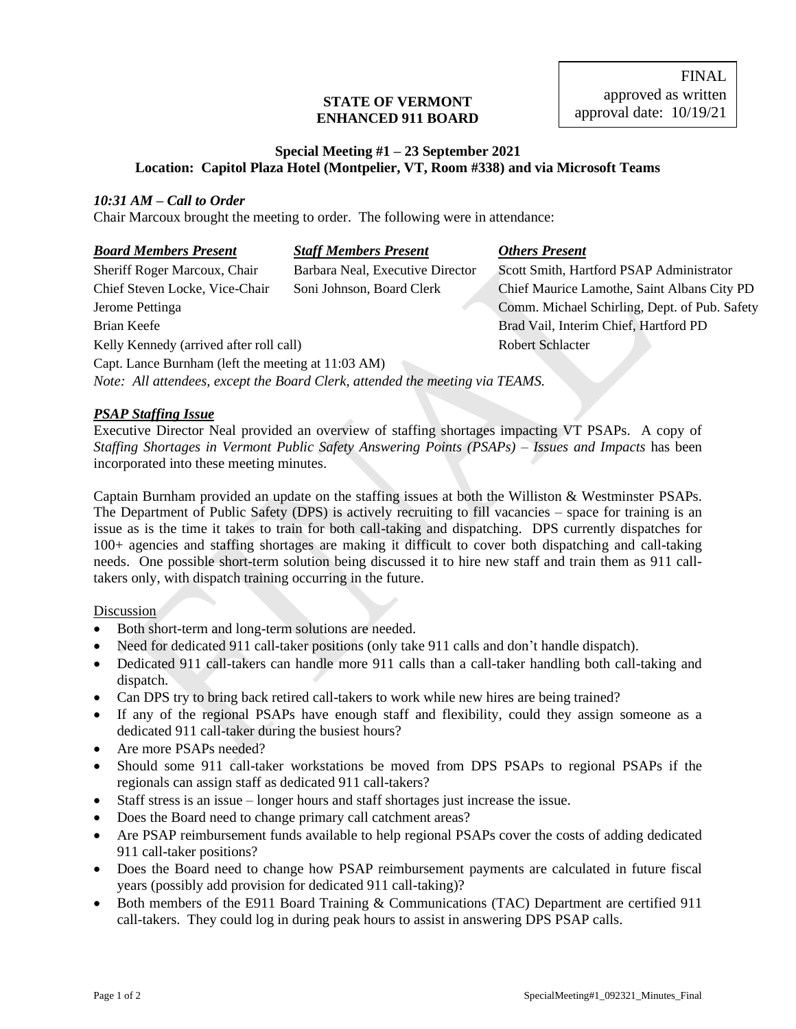#### **STATE OF VERMONT ENHANCED 911 BOARD**

FINAL approved as written approval date: 10/19/21

#### **Special Meeting #1 – 23 September 2021 Location: Capitol Plaza Hotel (Montpelier, VT, Room #338) and via Microsoft Teams**

#### *10:31 AM – Call to Order*

Chair Marcoux brought the meeting to order. The following were in attendance:

| <b>Board Members Present</b>                       | <b>Staff Members Present</b>                                                 | <b>Others Present</b>                         |
|----------------------------------------------------|------------------------------------------------------------------------------|-----------------------------------------------|
| Sheriff Roger Marcoux, Chair                       | Barbara Neal, Executive Director                                             | Scott Smith, Hartford PSAP Administrator      |
| Chief Steven Locke, Vice-Chair                     | Soni Johnson, Board Clerk                                                    | Chief Maurice Lamothe, Saint Albans City PD   |
| Jerome Pettinga                                    |                                                                              | Comm. Michael Schirling, Dept. of Pub. Safety |
| Brian Keefe                                        |                                                                              | Brad Vail, Interim Chief, Hartford PD         |
| Kelly Kennedy (arrived after roll call)            |                                                                              | <b>Robert Schlacter</b>                       |
| Capt. Lance Burnham (left the meeting at 11:03 AM) |                                                                              |                                               |
|                                                    | Note: All attendees, except the Board Clerk, attended the meeting via TEAMS. |                                               |

### *PSAP Staffing Issue*

Executive Director Neal provided an overview of staffing shortages impacting VT PSAPs. A copy of *Staffing Shortages in Vermont Public Safety Answering Points (PSAPs) – Issues and Impacts* has been incorporated into these meeting minutes.

Captain Burnham provided an update on the staffing issues at both the Williston & Westminster PSAPs. The Department of Public Safety (DPS) is actively recruiting to fill vacancies – space for training is an issue as is the time it takes to train for both call-taking and dispatching. DPS currently dispatches for 100+ agencies and staffing shortages are making it difficult to cover both dispatching and call-taking needs. One possible short-term solution being discussed it to hire new staff and train them as 911 calltakers only, with dispatch training occurring in the future.

#### **Discussion**

- Both short-term and long-term solutions are needed.
- Need for dedicated 911 call-taker positions (only take 911 calls and don't handle dispatch).
- Dedicated 911 call-takers can handle more 911 calls than a call-taker handling both call-taking and dispatch.
- Can DPS try to bring back retired call-takers to work while new hires are being trained?
- If any of the regional PSAPs have enough staff and flexibility, could they assign someone as a dedicated 911 call-taker during the busiest hours?
- Are more PSAPs needed?
- Should some 911 call-taker workstations be moved from DPS PSAPs to regional PSAPs if the regionals can assign staff as dedicated 911 call-takers?
- Staff stress is an issue longer hours and staff shortages just increase the issue.
- Does the Board need to change primary call catchment areas?
- Are PSAP reimbursement funds available to help regional PSAPs cover the costs of adding dedicated 911 call-taker positions?
- Does the Board need to change how PSAP reimbursement payments are calculated in future fiscal years (possibly add provision for dedicated 911 call-taking)?
- Both members of the E911 Board Training & Communications (TAC) Department are certified 911 call-takers. They could log in during peak hours to assist in answering DPS PSAP calls.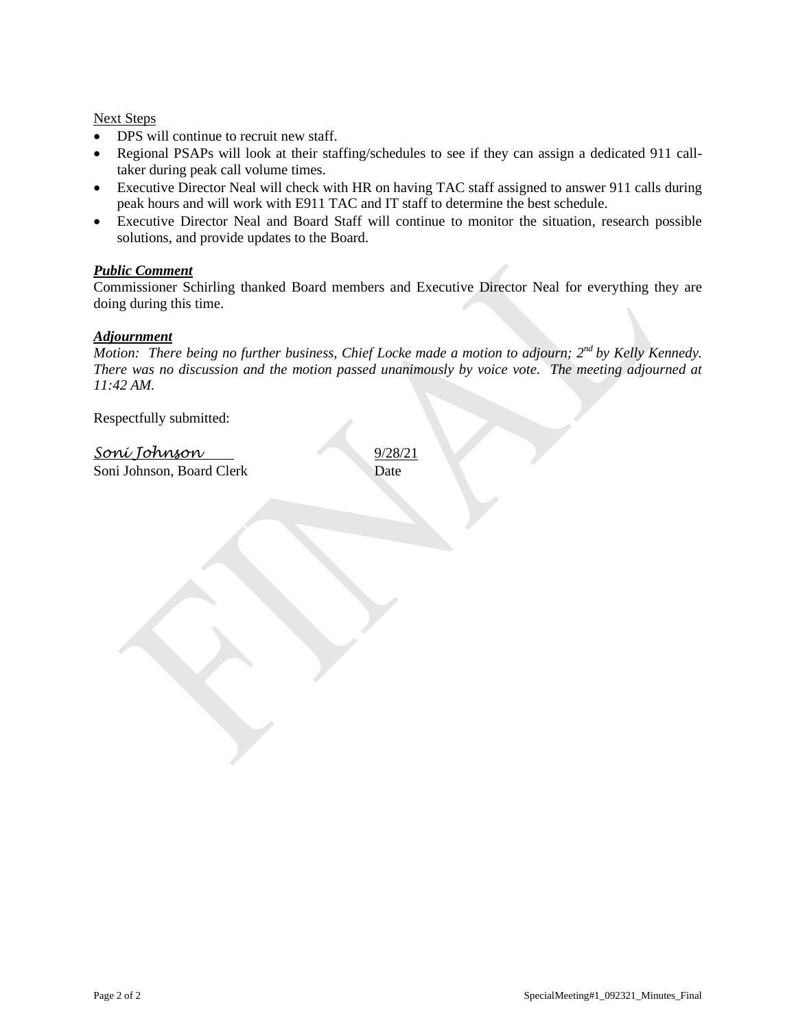#### Next Steps

- DPS will continue to recruit new staff.
- Regional PSAPs will look at their staffing/schedules to see if they can assign a dedicated 911 calltaker during peak call volume times.
- Executive Director Neal will check with HR on having TAC staff assigned to answer 911 calls during peak hours and will work with E911 TAC and IT staff to determine the best schedule.
- Executive Director Neal and Board Staff will continue to monitor the situation, research possible solutions, and provide updates to the Board.

### *Public Comment*

Commissioner Schirling thanked Board members and Executive Director Neal for everything they are doing during this time.

#### *Adjournment*

*Motion: There being no further business, Chief Locke made a motion to adjourn; 2nd by Kelly Kennedy. There was no discussion and the motion passed unanimously by voice vote. The meeting adjourned at 11:42 AM.*

Respectfully submitted:

*Soni Johnson* 9/28/21 Soni Johnson, Board Clerk Date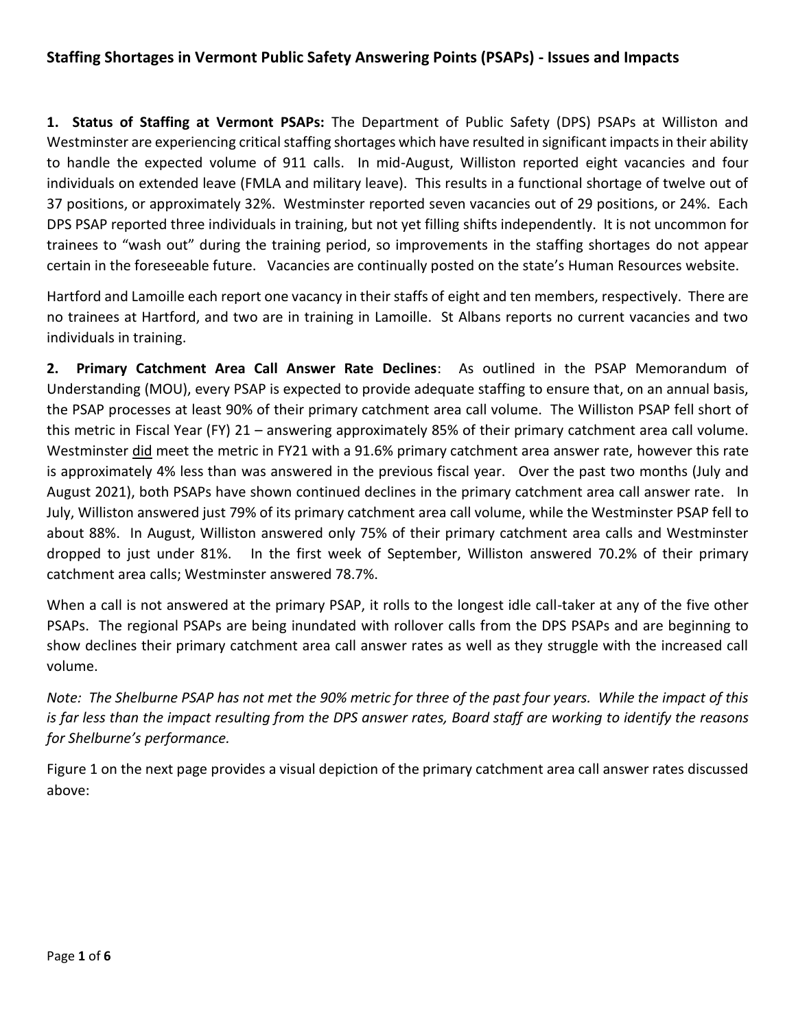## **Staffing Shortages in Vermont Public Safety Answering Points (PSAPs) - Issues and Impacts**

**1. Status of Staffing at Vermont PSAPs:** The Department of Public Safety (DPS) PSAPs at Williston and Westminster are experiencing critical staffing shortages which have resulted in significant impacts in their ability to handle the expected volume of 911 calls. In mid-August, Williston reported eight vacancies and four individuals on extended leave (FMLA and military leave). This results in a functional shortage of twelve out of 37 positions, or approximately 32%. Westminster reported seven vacancies out of 29 positions, or 24%. Each DPS PSAP reported three individuals in training, but not yet filling shifts independently. It is not uncommon for trainees to "wash out" during the training period, so improvements in the staffing shortages do not appear certain in the foreseeable future. Vacancies are continually posted on the state's Human Resources website.

Hartford and Lamoille each report one vacancy in their staffs of eight and ten members, respectively. There are no trainees at Hartford, and two are in training in Lamoille. St Albans reports no current vacancies and two individuals in training.

**2. Primary Catchment Area Call Answer Rate Declines**: As outlined in the PSAP Memorandum of Understanding (MOU), every PSAP is expected to provide adequate staffing to ensure that, on an annual basis, the PSAP processes at least 90% of their primary catchment area call volume. The Williston PSAP fell short of this metric in Fiscal Year (FY) 21 – answering approximately 85% of their primary catchment area call volume. Westminster did meet the metric in FY21 with a 91.6% primary catchment area answer rate, however this rate is approximately 4% less than was answered in the previous fiscal year. Over the past two months (July and August 2021), both PSAPs have shown continued declines in the primary catchment area call answer rate. In July, Williston answered just 79% of its primary catchment area call volume, while the Westminster PSAP fell to about 88%. In August, Williston answered only 75% of their primary catchment area calls and Westminster dropped to just under 81%. In the first week of September, Williston answered 70.2% of their primary catchment area calls; Westminster answered 78.7%.

When a call is not answered at the primary PSAP, it rolls to the longest idle call-taker at any of the five other PSAPs. The regional PSAPs are being inundated with rollover calls from the DPS PSAPs and are beginning to show declines their primary catchment area call answer rates as well as they struggle with the increased call volume.

*Note: The Shelburne PSAP has not met the 90% metric for three of the past four years. While the impact of this is far less than the impact resulting from the DPS answer rates, Board staff are working to identify the reasons for Shelburne's performance.*

Figure 1 on the next page provides a visual depiction of the primary catchment area call answer rates discussed above: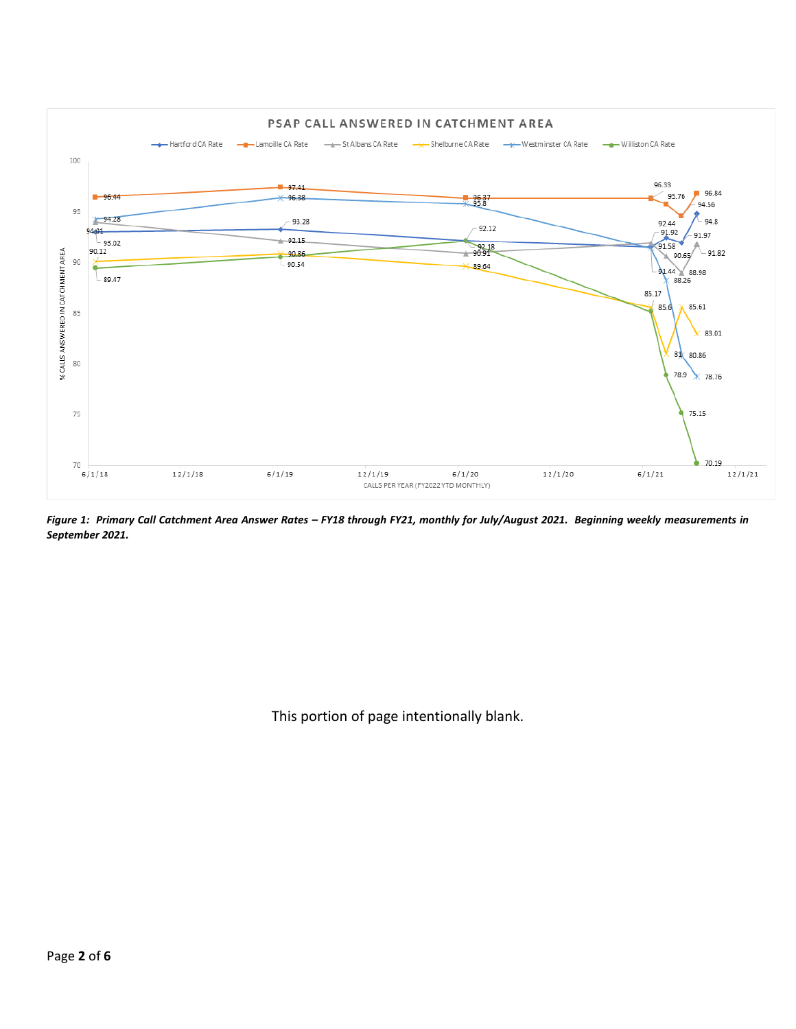

*Figure 1: Primary Call Catchment Area Answer Rates – FY18 through FY21, monthly for July/August 2021. Beginning weekly measurements in September 2021.*

This portion of page intentionally blank.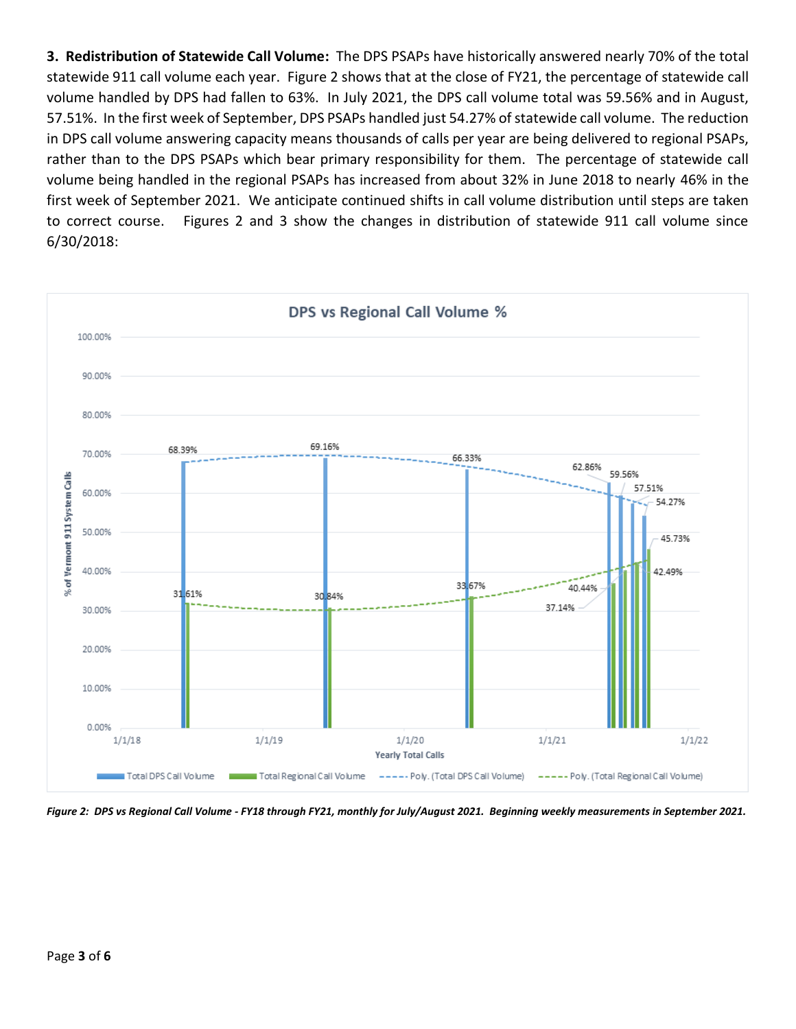**3. Redistribution of Statewide Call Volume:** The DPS PSAPs have historically answered nearly 70% of the total statewide 911 call volume each year. Figure 2 shows that at the close of FY21, the percentage of statewide call volume handled by DPS had fallen to 63%. In July 2021, the DPS call volume total was 59.56% and in August, 57.51%. In the first week of September, DPS PSAPs handled just 54.27% of statewide call volume. The reduction in DPS call volume answering capacity means thousands of calls per year are being delivered to regional PSAPs, rather than to the DPS PSAPs which bear primary responsibility for them. The percentage of statewide call volume being handled in the regional PSAPs has increased from about 32% in June 2018 to nearly 46% in the first week of September 2021. We anticipate continued shifts in call volume distribution until steps are taken to correct course. Figures 2 and 3 show the changes in distribution of statewide 911 call volume since 6/30/2018:



*Figure 2: DPS vs Regional Call Volume - FY18 through FY21, monthly for July/August 2021. Beginning weekly measurements in September 2021.*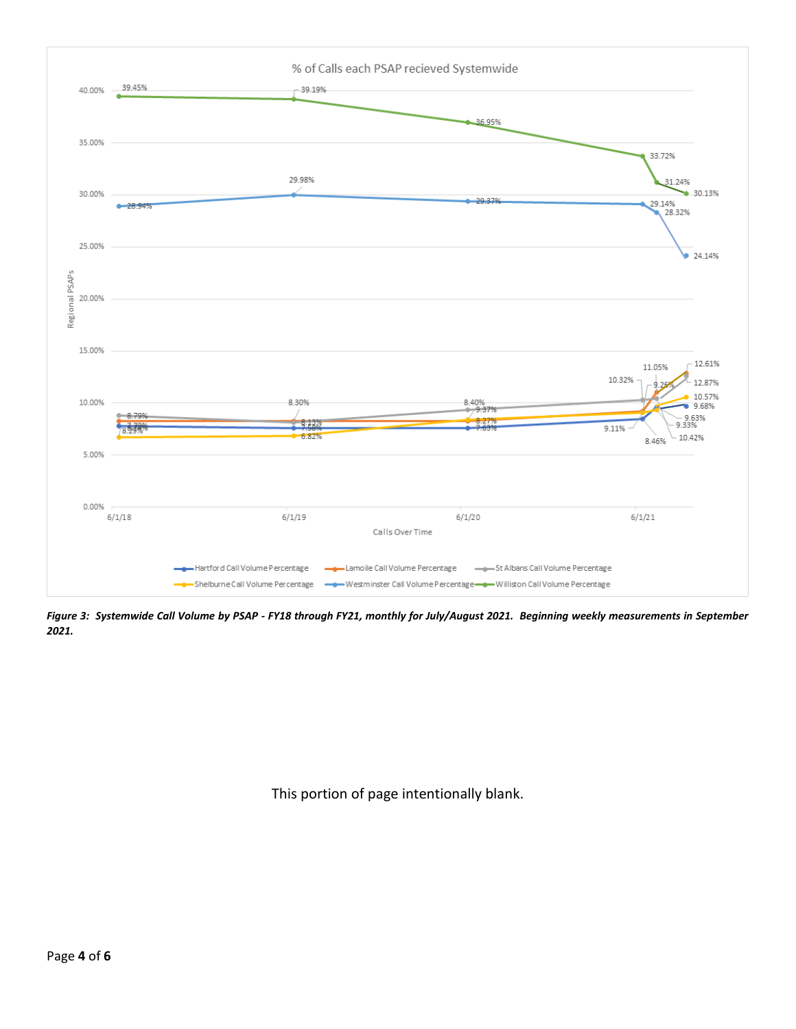

*Figure 3: Systemwide Call Volume by PSAP - FY18 through FY21, monthly for July/August 2021. Beginning weekly measurements in September 2021.*

This portion of page intentionally blank.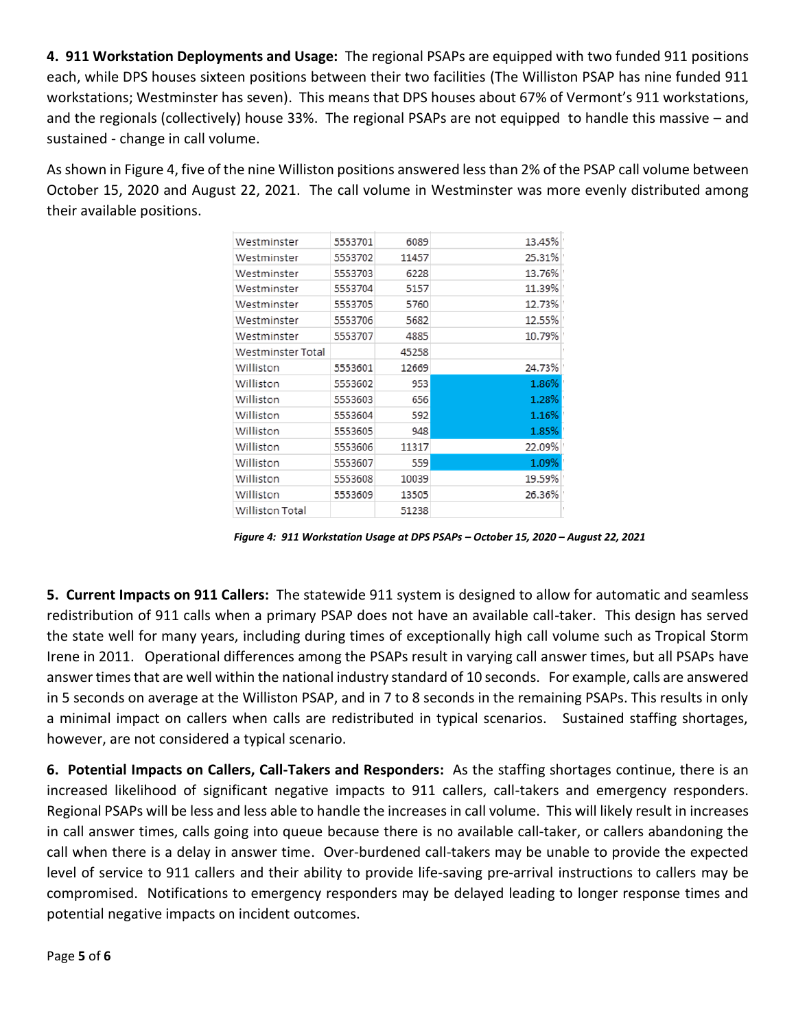**4. 911 Workstation Deployments and Usage:** The regional PSAPs are equipped with two funded 911 positions each, while DPS houses sixteen positions between their two facilities (The Williston PSAP has nine funded 911 workstations; Westminster has seven). This means that DPS houses about 67% of Vermont's 911 workstations, and the regionals (collectively) house 33%. The regional PSAPs are not equipped to handle this massive – and sustained - change in call volume.

As shown in Figure 4, five of the nine Williston positions answered less than 2% of the PSAP call volume between October 15, 2020 and August 22, 2021. The call volume in Westminster was more evenly distributed among their available positions.

| Westminster       | 5553701 | 6089  | 13.45% |  |
|-------------------|---------|-------|--------|--|
| Westminster       | 5553702 | 11457 | 25.31% |  |
| Westminster       | 5553703 | 6228  | 13.76% |  |
| Westminster       | 5553704 | 5157  | 11.39% |  |
| Westminster       | 5553705 | 5760  | 12.73% |  |
| Westminster       | 5553706 | 5682  | 12.55% |  |
| Westminster       | 5553707 | 4885  | 10.79% |  |
| Westminster Total |         | 45258 |        |  |
| Williston         | 5553601 | 12669 | 24.73% |  |
| Williston         | 5553602 | 953   | 1.86%  |  |
| Williston         | 5553603 | 656   | 1.28%  |  |
| Williston         | 5553604 | 592   | 1.16%  |  |
| Williston         | 5553605 | 948   | 1.85%  |  |
| Williston         | 5553606 | 11317 | 22.09% |  |
| Williston         | 5553607 | 559   | 1.09%  |  |
| Williston         | 5553608 | 10039 | 19.59% |  |
| Williston         | 5553609 | 13505 | 26.36% |  |
| Williston Total   |         | 51238 |        |  |
|                   |         |       |        |  |

*Figure 4: 911 Workstation Usage at DPS PSAPs – October 15, 2020 – August 22, 2021*

**5. Current Impacts on 911 Callers:** The statewide 911 system is designed to allow for automatic and seamless redistribution of 911 calls when a primary PSAP does not have an available call-taker. This design has served the state well for many years, including during times of exceptionally high call volume such as Tropical Storm Irene in 2011. Operational differences among the PSAPs result in varying call answer times, but all PSAPs have answer times that are well within the national industry standard of 10 seconds. For example, calls are answered in 5 seconds on average at the Williston PSAP, and in 7 to 8 seconds in the remaining PSAPs. This results in only a minimal impact on callers when calls are redistributed in typical scenarios. Sustained staffing shortages, however, are not considered a typical scenario.

**6. Potential Impacts on Callers, Call-Takers and Responders:** As the staffing shortages continue, there is an increased likelihood of significant negative impacts to 911 callers, call-takers and emergency responders. Regional PSAPs will be less and less able to handle the increases in call volume. This will likely result in increases in call answer times, calls going into queue because there is no available call-taker, or callers abandoning the call when there is a delay in answer time. Over-burdened call-takers may be unable to provide the expected level of service to 911 callers and their ability to provide life-saving pre-arrival instructions to callers may be compromised. Notifications to emergency responders may be delayed leading to longer response times and potential negative impacts on incident outcomes.